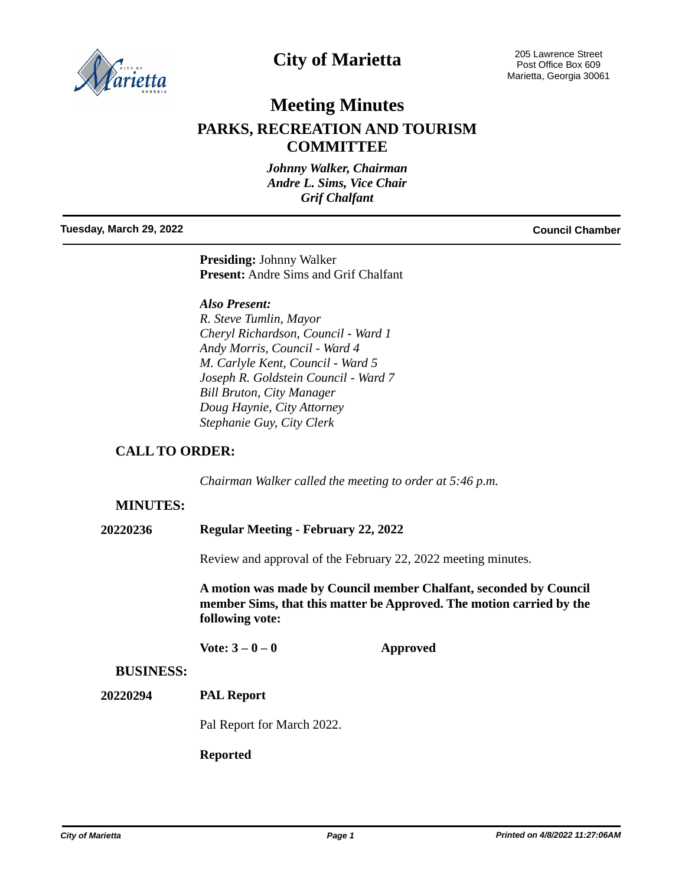

# **City of Marietta**

# **Meeting Minutes**

## **PARKS, RECREATION AND TOURISM COMMITTEE**

*Johnny Walker, Chairman Andre L. Sims, Vice Chair Grif Chalfant*

#### **Tuesday, March 29, 2022 Council Chamber**

**Presiding:** Johnny Walker **Present:** Andre Sims and Grif Chalfant

*Also Present:*

*R. Steve Tumlin, Mayor Cheryl Richardson, Council - Ward 1 Andy Morris, Council - Ward 4 M. Carlyle Kent, Council - Ward 5 Joseph R. Goldstein Council - Ward 7 Bill Bruton, City Manager Doug Haynie, City Attorney Stephanie Guy, City Clerk*

## **CALL TO ORDER:**

*Chairman Walker called the meeting to order at 5:46 p.m.*

## **MINUTES:**

#### **20220236 Regular Meeting - February 22, 2022**

Review and approval of the February 22, 2022 meeting minutes.

**A motion was made by Council member Chalfant, seconded by Council member Sims, that this matter be Approved. The motion carried by the following vote:**

**Vote: 3 – 0 – 0 Approved**

#### **BUSINESS:**

#### **PAL Report 20220294**

Pal Report for March 2022.

#### **Reported**